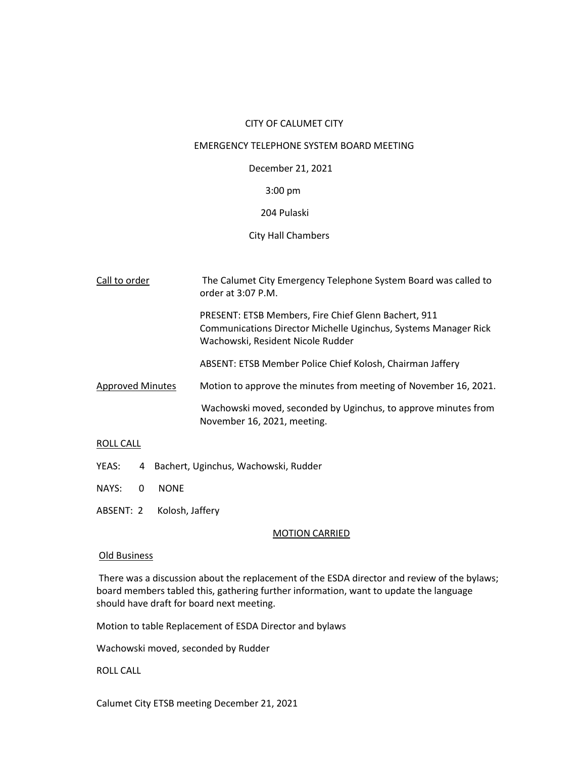#### CITY OF CALUMET CITY

#### EMERGENCY TELEPHONE SYSTEM BOARD MEETING

December 21, 2021

# 3:00 pm

## 204 Pulaski

## City Hall Chambers

| Call to order           | The Calumet City Emergency Telephone System Board was called to<br>order at $3:07$ P.M.                                                                      |
|-------------------------|--------------------------------------------------------------------------------------------------------------------------------------------------------------|
|                         | PRESENT: ETSB Members, Fire Chief Glenn Bachert, 911<br>Communications Director Michelle Uginchus, Systems Manager Rick<br>Wachowski, Resident Nicole Rudder |
|                         | ABSENT: ETSB Member Police Chief Kolosh, Chairman Jaffery                                                                                                    |
| <b>Approved Minutes</b> | Motion to approve the minutes from meeting of November 16, 2021.                                                                                             |
|                         | Wachowski moved, seconded by Uginchus, to approve minutes from<br>November 16, 2021, meeting.                                                                |

#### ROLL CALL

- YEAS: 4 Bachert, Uginchus, Wachowski, Rudder
- NAYS: 0 NONE
- ABSENT: 2 Kolosh, Jaffery

### MOTION CARRIED

#### Old Business

There was a discussion about the replacement of the ESDA director and review of the bylaws; board members tabled this, gathering further information, want to update the language should have draft for board next meeting.

Motion to table Replacement of ESDA Director and bylaws

Wachowski moved, seconded by Rudder

ROLL CALL

Calumet City ETSB meeting December 21, 2021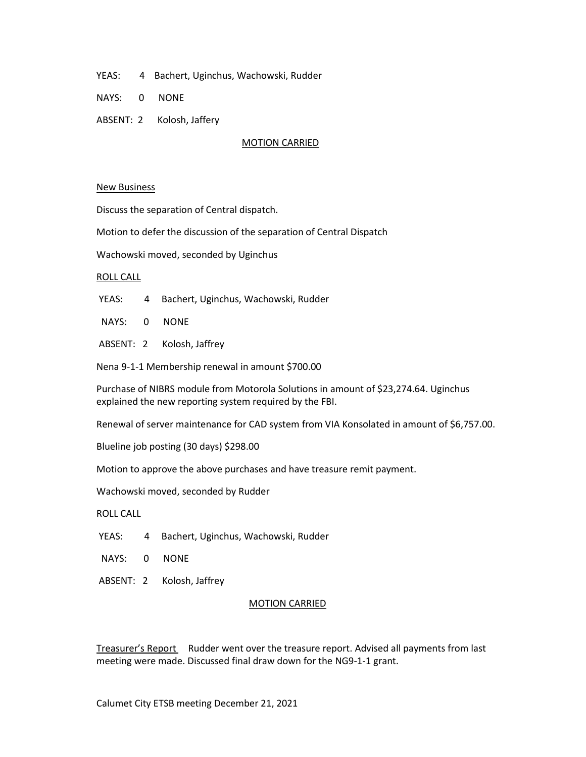- YEAS: 4 Bachert, Uginchus, Wachowski, Rudder
- NAYS: 0 NONE
- ABSENT: 2 Kolosh, Jaffery

#### MOTION CARRIED

#### New Business

Discuss the separation of Central dispatch.

Motion to defer the discussion of the separation of Central Dispatch

Wachowski moved, seconded by Uginchus

#### ROLL CALL

- YEAS: 4 Bachert, Uginchus, Wachowski, Rudder
- NAYS: 0 NONE
- ABSENT: 2 Kolosh, Jaffrey

Nena 9-1-1 Membership renewal in amount \$700.00

Purchase of NIBRS module from Motorola Solutions in amount of \$23,274.64. Uginchus explained the new reporting system required by the FBI.

Renewal of server maintenance for CAD system from VIA Konsolated in amount of \$6,757.00.

Blueline job posting (30 days) \$298.00

Motion to approve the above purchases and have treasure remit payment.

Wachowski moved, seconded by Rudder

ROLL CALL

- YEAS: 4 Bachert, Uginchus, Wachowski, Rudder
- NAYS: 0 NONE
- ABSENT: 2 Kolosh, Jaffrey

### MOTION CARRIED

Treasurer's Report Rudder went over the treasure report. Advised all payments from last meeting were made. Discussed final draw down for the NG9-1-1 grant.